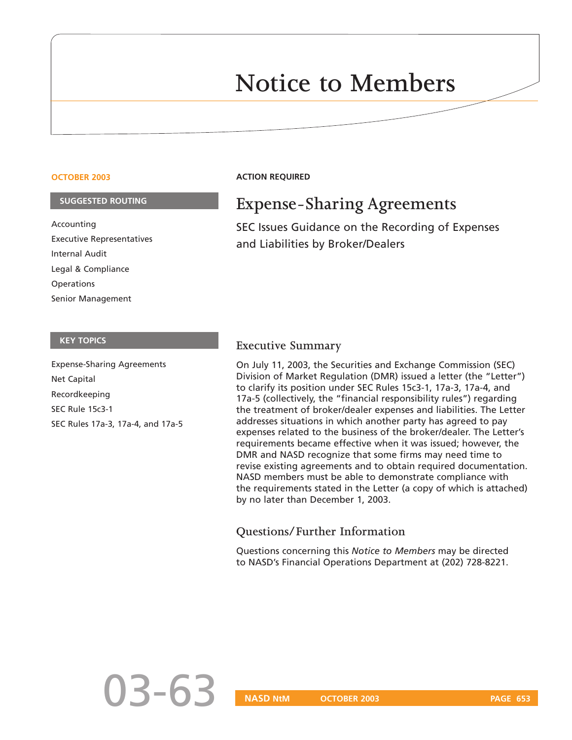# **Notice to Members**

#### **OCTOBER 2003**

## **SUGGESTED ROUTING**

Accounting Executive Representatives Internal Audit Legal & Compliance **Operations** Senior Management

## **KEY TOPICS**

Expense-Sharing Agreements Net Capital Recordkeeping SEC Rule 15c3-1 SEC Rules 17a-3, 17a-4, and 17a-5

## **ACTION REQUIRED**

## **Expense-Sharing Agreements**

SEC Issues Guidance on the Recording of Expenses and Liabilities by Broker/Dealers

## **Executive Summary**

On July 11, 2003, the Securities and Exchange Commission (SEC) Division of Market Regulation (DMR) issued a letter (the "Letter") to clarify its position under SEC Rules 15c3-1, 17a-3, 17a-4, and 17a-5 (collectively, the "financial responsibility rules") regarding the treatment of broker/dealer expenses and liabilities. The Letter addresses situations in which another party has agreed to pay expenses related to the business of the broker/dealer. The Letter's requirements became effective when it was issued; however, the DMR and NASD recognize that some firms may need time to revise existing agreements and to obtain required documentation. NASD members must be able to demonstrate compliance with the requirements stated in the Letter (a copy of which is attached) by no later than December 1, 2003.

## **Questions/Further Information**

Questions concerning this *Notice to Members* may be directed to NASD's Financial Operations Department at (202) 728-8221.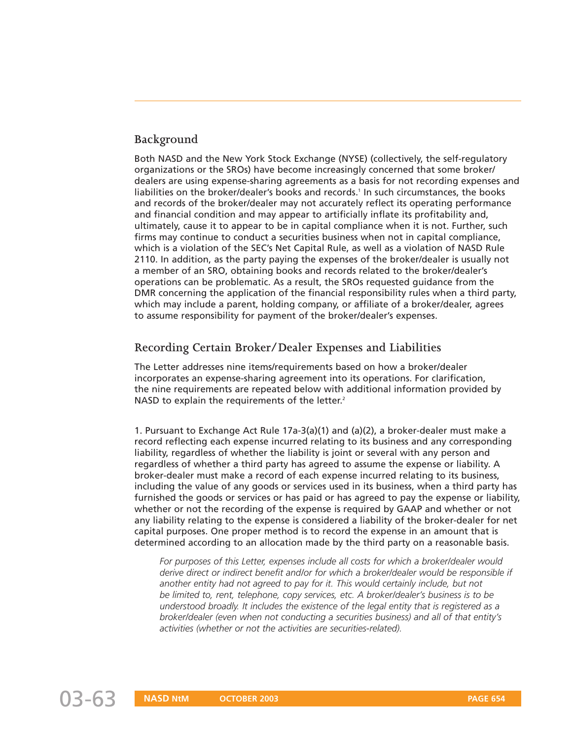## **Background**

Both NASD and the New York Stock Exchange (NYSE) (collectively, the self-regulatory organizations or the SROs) have become increasingly concerned that some broker/ dealers are using expense-sharing agreements as a basis for not recording expenses and liabilities on the broker/dealer's books and records.<sup>1</sup> In such circumstances, the books and records of the broker/dealer may not accurately reflect its operating performance and financial condition and may appear to artificially inflate its profitability and, ultimately, cause it to appear to be in capital compliance when it is not. Further, such firms may continue to conduct a securities business when not in capital compliance, which is a violation of the SEC's Net Capital Rule, as well as a violation of NASD Rule 2110. In addition, as the party paying the expenses of the broker/dealer is usually not a member of an SRO, obtaining books and records related to the broker/dealer's operations can be problematic. As a result, the SROs requested guidance from the DMR concerning the application of the financial responsibility rules when a third party, which may include a parent, holding company, or affiliate of a broker/dealer, agrees to assume responsibility for payment of the broker/dealer's expenses.

## **Recording Certain Broker/Dealer Expenses and Liabilities**

The Letter addresses nine items/requirements based on how a broker/dealer incorporates an expense-sharing agreement into its operations. For clarification, the nine requirements are repeated below with additional information provided by NASD to explain the requirements of the letter.<sup>2</sup>

1. Pursuant to Exchange Act Rule 17a-3(a)(1) and (a)(2), a broker-dealer must make a record reflecting each expense incurred relating to its business and any corresponding liability, regardless of whether the liability is joint or several with any person and regardless of whether a third party has agreed to assume the expense or liability. A broker-dealer must make a record of each expense incurred relating to its business, including the value of any goods or services used in its business, when a third party has furnished the goods or services or has paid or has agreed to pay the expense or liability, whether or not the recording of the expense is required by GAAP and whether or not any liability relating to the expense is considered a liability of the broker-dealer for net capital purposes. One proper method is to record the expense in an amount that is determined according to an allocation made by the third party on a reasonable basis.

*For purposes of this Letter, expenses include all costs for which a broker/dealer would derive direct or indirect benefit and/or for which a broker/dealer would be responsible if* another entity had not agreed to pay for it. This would certainly include, but not *be limited to, rent, telephone, copy services, etc. A broker/dealer's business is to be understood broadly. It includes the existence of the legal entity that is registered as a broker/dealer (even when not conducting a securities business) and all of that entity's activities (whether or not the activities are securities-related).*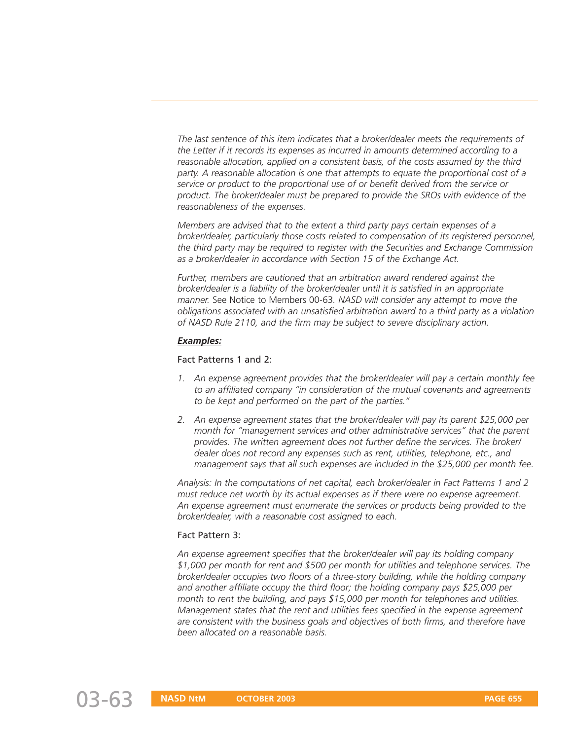*The last sentence of this item indicates that a broker/dealer meets the requirements of the Letter if it records its expenses as incurred in amounts determined according to a reasonable allocation, applied on a consistent basis, of the costs assumed by the third party. A reasonable allocation is one that attempts to equate the proportional cost of a service or product to the proportional use of or benefit derived from the service or product. The broker/dealer must be prepared to provide the SROs with evidence of the reasonableness of the expenses.* 

*Members are advised that to the extent a third party pays certain expenses of a broker/dealer, particularly those costs related to compensation of its registered personnel, the third party may be required to register with the Securities and Exchange Commission as a broker/dealer in accordance with Section 15 of the Exchange Act.* 

*Further, members are cautioned that an arbitration award rendered against the broker/dealer is a liability of the broker/dealer until it is satisfied in an appropriate manner.* See Notice to Members 00-63*. NASD will consider any attempt to move the obligations associated with an unsatisfied arbitration award to a third party as a violation of NASD Rule 2110, and the firm may be subject to severe disciplinary action.*

## *Examples:*

## Fact Patterns 1 and 2:

- *1. An expense agreement provides that the broker/dealer will pay a certain monthly fee to an affiliated company "in consideration of the mutual covenants and agreements to be kept and performed on the part of the parties."*
- *2. An expense agreement states that the broker/dealer will pay its parent \$25,000 per month for "management services and other administrative services" that the parent provides. The written agreement does not further define the services. The broker/ dealer does not record any expenses such as rent, utilities, telephone, etc., and management says that all such expenses are included in the \$25,000 per month fee.*

*Analysis: In the computations of net capital, each broker/dealer in Fact Patterns 1 and 2 must reduce net worth by its actual expenses as if there were no expense agreement. An expense agreement must enumerate the services or products being provided to the broker/dealer, with a reasonable cost assigned to each.* 

## Fact Pattern 3:

*An expense agreement specifies that the broker/dealer will pay its holding company \$1,000 per month for rent and \$500 per month for utilities and telephone services. The broker/dealer occupies two floors of a three-story building, while the holding company and another affiliate occupy the third floor; the holding company pays \$25,000 per month to rent the building, and pays \$15,000 per month for telephones and utilities. Management states that the rent and utilities fees specified in the expense agreement are consistent with the business goals and objectives of both firms, and therefore have been allocated on a reasonable basis.*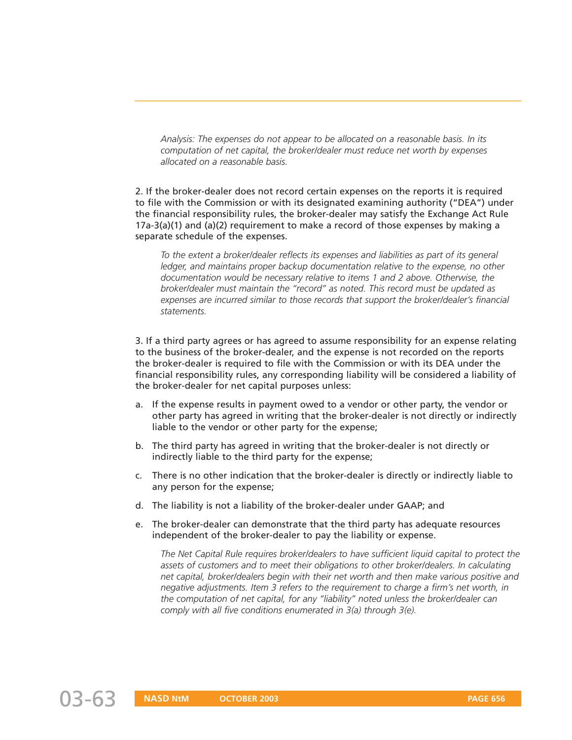*Analysis: The expenses do not appear to be allocated on a reasonable basis. In its computation of net capital, the broker/dealer must reduce net worth by expenses allocated on a reasonable basis.*

2. If the broker-dealer does not record certain expenses on the reports it is required to file with the Commission or with its designated examining authority ("DEA") under the financial responsibility rules, the broker-dealer may satisfy the Exchange Act Rule 17a-3(a)(1) and (a)(2) requirement to make a record of those expenses by making a separate schedule of the expenses.

*To the extent a broker/dealer reflects its expenses and liabilities as part of its general ledger, and maintains proper backup documentation relative to the expense, no other documentation would be necessary relative to items 1 and 2 above. Otherwise, the broker/dealer must maintain the "record" as noted. This record must be updated as expenses are incurred similar to those records that support the broker/dealer's financial statements.* 

3. If a third party agrees or has agreed to assume responsibility for an expense relating to the business of the broker-dealer, and the expense is not recorded on the reports the broker-dealer is required to file with the Commission or with its DEA under the financial responsibility rules, any corresponding liability will be considered a liability of the broker-dealer for net capital purposes unless:

- a. If the expense results in payment owed to a vendor or other party, the vendor or other party has agreed in writing that the broker-dealer is not directly or indirectly liable to the vendor or other party for the expense;
- b. The third party has agreed in writing that the broker-dealer is not directly or indirectly liable to the third party for the expense;
- c. There is no other indication that the broker-dealer is directly or indirectly liable to any person for the expense;
- d. The liability is not a liability of the broker-dealer under GAAP; and
- e. The broker-dealer can demonstrate that the third party has adequate resources independent of the broker-dealer to pay the liability or expense.

*The Net Capital Rule requires broker/dealers to have sufficient liquid capital to protect the assets of customers and to meet their obligations to other broker/dealers. In calculating net capital, broker/dealers begin with their net worth and then make various positive and negative adjustments. Item 3 refers to the requirement to charge a firm's net worth, in the computation of net capital, for any "liability" noted unless the broker/dealer can comply with all five conditions enumerated in 3(a) through 3(e).*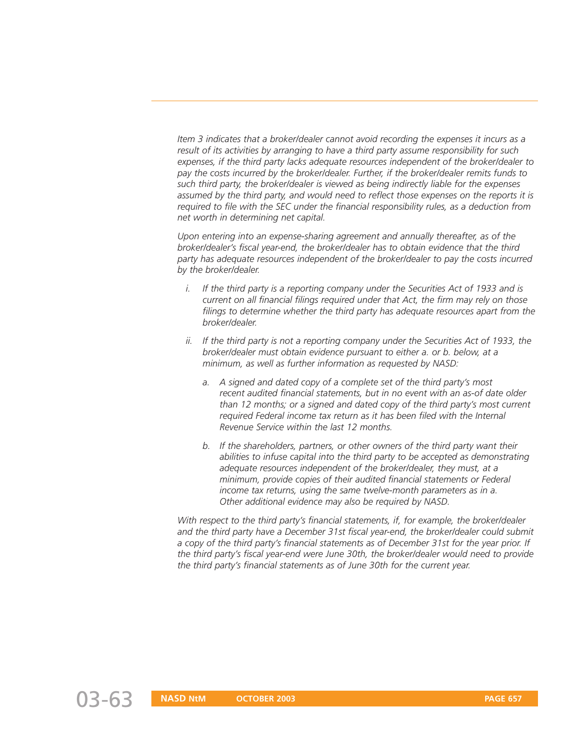*Item 3 indicates that a broker/dealer cannot avoid recording the expenses it incurs as a result of its activities by arranging to have a third party assume responsibility for such expenses, if the third party lacks adequate resources independent of the broker/dealer to pay the costs incurred by the broker/dealer. Further, if the broker/dealer remits funds to such third party, the broker/dealer is viewed as being indirectly liable for the expenses assumed by the third party, and would need to reflect those expenses on the reports it is required to file with the SEC under the financial responsibility rules, as a deduction from net worth in determining net capital.* 

*Upon entering into an expense-sharing agreement and annually thereafter, as of the broker/dealer's fiscal year-end, the broker/dealer has to obtain evidence that the third party has adequate resources independent of the broker/dealer to pay the costs incurred by the broker/dealer.* 

- *i. If the third party is a reporting company under the Securities Act of 1933 and is current on all financial filings required under that Act, the firm may rely on those filings to determine whether the third party has adequate resources apart from the broker/dealer.*
- *ii. If the third party is not a reporting company under the Securities Act of 1933, the broker/dealer must obtain evidence pursuant to either a. or b. below, at a minimum, as well as further information as requested by NASD:* 
	- *a. A signed and dated copy of a complete set of the third party's most recent audited financial statements, but in no event with an as-of date older than 12 months; or a signed and dated copy of the third party's most current required Federal income tax return as it has been filed with the Internal Revenue Service within the last 12 months.*
	- *b. If the shareholders, partners, or other owners of the third party want their abilities to infuse capital into the third party to be accepted as demonstrating adequate resources independent of the broker/dealer, they must, at a minimum, provide copies of their audited financial statements or Federal income tax returns, using the same twelve-month parameters as in a. Other additional evidence may also be required by NASD.*

*With respect to the third party's financial statements, if, for example, the broker/dealer and the third party have a December 31st fiscal year-end, the broker/dealer could submit a copy of the third party's financial statements as of December 31st for the year prior. If the third party's fiscal year-end were June 30th, the broker/dealer would need to provide the third party's financial statements as of June 30th for the current year.*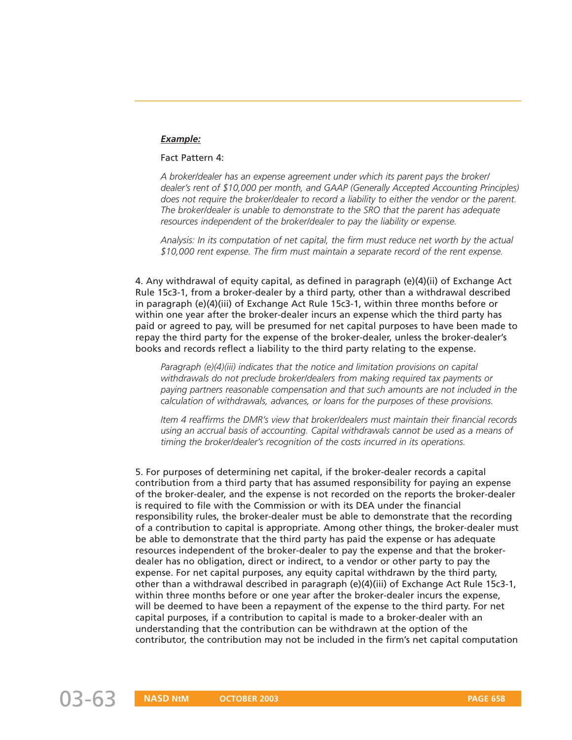## *Example:*

#### Fact Pattern 4:

*A broker/dealer has an expense agreement under which its parent pays the broker/ dealer's rent of \$10,000 per month, and GAAP (Generally Accepted Accounting Principles) does not require the broker/dealer to record a liability to either the vendor or the parent. The broker/dealer is unable to demonstrate to the SRO that the parent has adequate resources independent of the broker/dealer to pay the liability or expense.* 

*Analysis: In its computation of net capital, the firm must reduce net worth by the actual \$10,000 rent expense. The firm must maintain a separate record of the rent expense.*

4. Any withdrawal of equity capital, as defined in paragraph (e)(4)(ii) of Exchange Act Rule 15c3-1, from a broker-dealer by a third party, other than a withdrawal described in paragraph (e)(4)(iii) of Exchange Act Rule 15c3-1, within three months before or within one year after the broker-dealer incurs an expense which the third party has paid or agreed to pay, will be presumed for net capital purposes to have been made to repay the third party for the expense of the broker-dealer, unless the broker-dealer's books and records reflect a liability to the third party relating to the expense.

*Paragraph (e)(4)(iii) indicates that the notice and limitation provisions on capital withdrawals do not preclude broker/dealers from making required tax payments or paying partners reasonable compensation and that such amounts are not included in the calculation of withdrawals, advances, or loans for the purposes of these provisions.* 

*Item 4 reaffirms the DMR's view that broker/dealers must maintain their financial records using an accrual basis of accounting. Capital withdrawals cannot be used as a means of timing the broker/dealer's recognition of the costs incurred in its operations.* 

5. For purposes of determining net capital, if the broker-dealer records a capital contribution from a third party that has assumed responsibility for paying an expense of the broker-dealer, and the expense is not recorded on the reports the broker-dealer is required to file with the Commission or with its DEA under the financial responsibility rules, the broker-dealer must be able to demonstrate that the recording of a contribution to capital is appropriate. Among other things, the broker-dealer must be able to demonstrate that the third party has paid the expense or has adequate resources independent of the broker-dealer to pay the expense and that the brokerdealer has no obligation, direct or indirect, to a vendor or other party to pay the expense. For net capital purposes, any equity capital withdrawn by the third party, other than a withdrawal described in paragraph (e)(4)(iii) of Exchange Act Rule 15c3-1, within three months before or one year after the broker-dealer incurs the expense, will be deemed to have been a repayment of the expense to the third party. For net capital purposes, if a contribution to capital is made to a broker-dealer with an understanding that the contribution can be withdrawn at the option of the contributor, the contribution may not be included in the firm's net capital computation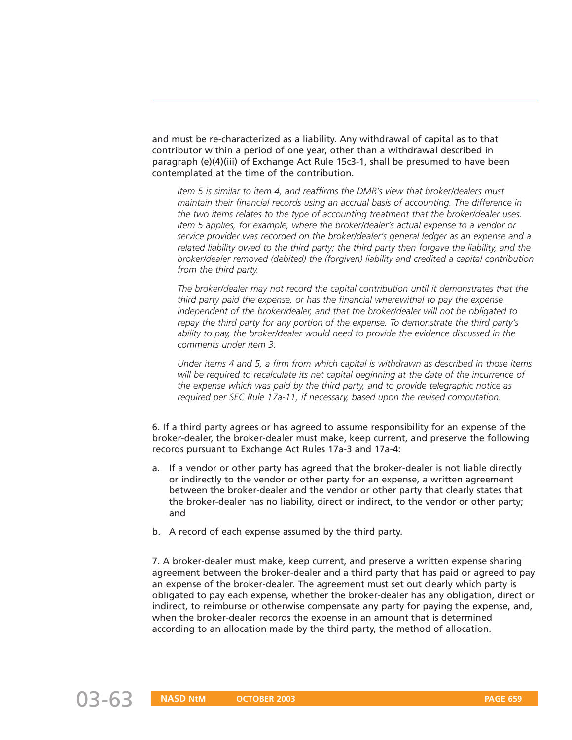and must be re-characterized as a liability. Any withdrawal of capital as to that contributor within a period of one year, other than a withdrawal described in paragraph (e)(4)(iii) of Exchange Act Rule 15c3-1, shall be presumed to have been contemplated at the time of the contribution.

*Item 5 is similar to item 4, and reaffirms the DMR's view that broker/dealers must maintain their financial records using an accrual basis of accounting. The difference in the two items relates to the type of accounting treatment that the broker/dealer uses. Item 5 applies, for example, where the broker/dealer's actual expense to a vendor or service provider was recorded on the broker/dealer's general ledger as an expense and a related liability owed to the third party; the third party then forgave the liability, and the broker/dealer removed (debited) the (forgiven) liability and credited a capital contribution from the third party.*

*The broker/dealer may not record the capital contribution until it demonstrates that the third party paid the expense, or has the financial wherewithal to pay the expense independent of the broker/dealer, and that the broker/dealer will not be obligated to repay the third party for any portion of the expense. To demonstrate the third party's ability to pay, the broker/dealer would need to provide the evidence discussed in the comments under item 3.* 

*Under items 4 and 5, a firm from which capital is withdrawn as described in those items will be required to recalculate its net capital beginning at the date of the incurrence of the expense which was paid by the third party, and to provide telegraphic notice as required per SEC Rule 17a-11, if necessary, based upon the revised computation.*

6. If a third party agrees or has agreed to assume responsibility for an expense of the broker-dealer, the broker-dealer must make, keep current, and preserve the following records pursuant to Exchange Act Rules 17a-3 and 17a-4:

- a. If a vendor or other party has agreed that the broker-dealer is not liable directly or indirectly to the vendor or other party for an expense, a written agreement between the broker-dealer and the vendor or other party that clearly states that the broker-dealer has no liability, direct or indirect, to the vendor or other party; and
- b. A record of each expense assumed by the third party.

7. A broker-dealer must make, keep current, and preserve a written expense sharing agreement between the broker-dealer and a third party that has paid or agreed to pay an expense of the broker-dealer. The agreement must set out clearly which party is obligated to pay each expense, whether the broker-dealer has any obligation, direct or indirect, to reimburse or otherwise compensate any party for paying the expense, and, when the broker-dealer records the expense in an amount that is determined according to an allocation made by the third party, the method of allocation.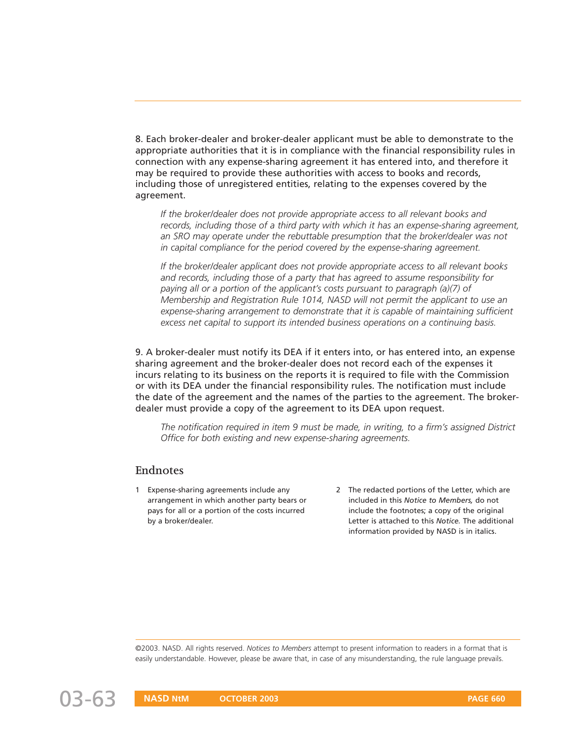8. Each broker-dealer and broker-dealer applicant must be able to demonstrate to the appropriate authorities that it is in compliance with the financial responsibility rules in connection with any expense-sharing agreement it has entered into, and therefore it may be required to provide these authorities with access to books and records, including those of unregistered entities, relating to the expenses covered by the agreement.

*If the broker/dealer does not provide appropriate access to all relevant books and records, including those of a third party with which it has an expense-sharing agreement, an SRO may operate under the rebuttable presumption that the broker/dealer was not in capital compliance for the period covered by the expense-sharing agreement.*

*If the broker/dealer applicant does not provide appropriate access to all relevant books and records, including those of a party that has agreed to assume responsibility for paying all or a portion of the applicant's costs pursuant to paragraph (a)(7) of Membership and Registration Rule 1014, NASD will not permit the applicant to use an expense-sharing arrangement to demonstrate that it is capable of maintaining sufficient excess net capital to support its intended business operations on a continuing basis.* 

9. A broker-dealer must notify its DEA if it enters into, or has entered into, an expense sharing agreement and the broker-dealer does not record each of the expenses it incurs relating to its business on the reports it is required to file with the Commission or with its DEA under the financial responsibility rules. The notification must include the date of the agreement and the names of the parties to the agreement. The brokerdealer must provide a copy of the agreement to its DEA upon request.

*The notification required in item 9 must be made, in writing, to a firm's assigned District Office for both existing and new expense-sharing agreements.*

## **Endnotes**

- 1 Expense-sharing agreements include any arrangement in which another party bears or pays for all or a portion of the costs incurred by a broker/dealer.
- 2 The redacted portions of the Letter, which are included in this *Notice to Members,* do not include the footnotes; a copy of the original Letter is attached to this *Notice.* The additional information provided by NASD is in italics.

©2003. NASD. All rights reserved. *Notices to Members* attempt to present information to readers in a format that is easily understandable. However, please be aware that, in case of any misunderstanding, the rule language prevails.

03-63 **NASD NtM OCTOBER 2003 PAGE 660**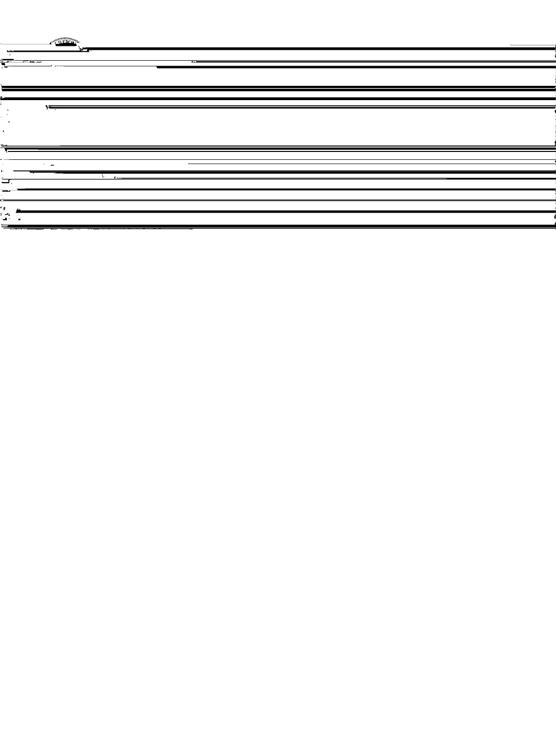|                                                                                                                                                                                                                                   | en de la provincia de la provincia de la provincia de la provincia de la provincia de la provincia de la provi<br>Transportante de la provincia de la provincia de la provincia de la provincia de la provincia de la provincia<br>A                                                                                                                                                                                  |  |
|-----------------------------------------------------------------------------------------------------------------------------------------------------------------------------------------------------------------------------------|-----------------------------------------------------------------------------------------------------------------------------------------------------------------------------------------------------------------------------------------------------------------------------------------------------------------------------------------------------------------------------------------------------------------------|--|
|                                                                                                                                                                                                                                   |                                                                                                                                                                                                                                                                                                                                                                                                                       |  |
|                                                                                                                                                                                                                                   |                                                                                                                                                                                                                                                                                                                                                                                                                       |  |
|                                                                                                                                                                                                                                   | <u>in die staatste verschilden de staat de staat de staat de staat de staat de staat de staat de staat de staat d</u>                                                                                                                                                                                                                                                                                                 |  |
|                                                                                                                                                                                                                                   |                                                                                                                                                                                                                                                                                                                                                                                                                       |  |
|                                                                                                                                                                                                                                   | $\frac{1}{\sqrt{1-\frac{1}{1-\frac{1}{1-\frac{1}{1-\frac{1}{1-\frac{1}{1-\frac{1}{1-\frac{1}{1-\frac{1}{1-\frac{1}{1-\frac{1}{1-\frac{1}{1-\frac{1}{1-\frac{1}{1-\frac{1}{1-\frac{1}{1-\frac{1}{1-\frac{1}{1-\frac{1}{1-\frac{1}{1-\frac{1}{1-\frac{1}{1-\frac{1}{1-\frac{1}{1-\frac{1}{1-\frac{1}{1-\frac{1}{1-\frac{1}{1-\frac{1}{1-\frac{1}{1-\frac{1}{1-\frac{1}{1-\frac{1}{1-\frac{1}{1-\frac{1}{1-\frac{1}{1-\$ |  |
|                                                                                                                                                                                                                                   |                                                                                                                                                                                                                                                                                                                                                                                                                       |  |
|                                                                                                                                                                                                                                   |                                                                                                                                                                                                                                                                                                                                                                                                                       |  |
| and a strong of the strong strong strong and the strong strong strong strong strong strong strong strong strong<br>The strong strong strong strong strong strong strong strong strong strong strong strong strong strong strong s |                                                                                                                                                                                                                                                                                                                                                                                                                       |  |
|                                                                                                                                                                                                                                   |                                                                                                                                                                                                                                                                                                                                                                                                                       |  |
|                                                                                                                                                                                                                                   |                                                                                                                                                                                                                                                                                                                                                                                                                       |  |
|                                                                                                                                                                                                                                   |                                                                                                                                                                                                                                                                                                                                                                                                                       |  |
|                                                                                                                                                                                                                                   |                                                                                                                                                                                                                                                                                                                                                                                                                       |  |
|                                                                                                                                                                                                                                   |                                                                                                                                                                                                                                                                                                                                                                                                                       |  |
|                                                                                                                                                                                                                                   |                                                                                                                                                                                                                                                                                                                                                                                                                       |  |
|                                                                                                                                                                                                                                   |                                                                                                                                                                                                                                                                                                                                                                                                                       |  |
|                                                                                                                                                                                                                                   |                                                                                                                                                                                                                                                                                                                                                                                                                       |  |
|                                                                                                                                                                                                                                   |                                                                                                                                                                                                                                                                                                                                                                                                                       |  |
|                                                                                                                                                                                                                                   |                                                                                                                                                                                                                                                                                                                                                                                                                       |  |
|                                                                                                                                                                                                                                   |                                                                                                                                                                                                                                                                                                                                                                                                                       |  |
|                                                                                                                                                                                                                                   |                                                                                                                                                                                                                                                                                                                                                                                                                       |  |
|                                                                                                                                                                                                                                   | j <del>e na uzateljuje poznat</del>                                                                                                                                                                                                                                                                                                                                                                                   |  |
|                                                                                                                                                                                                                                   | <u>—————————————</u><br>{}                                                                                                                                                                                                                                                                                                                                                                                            |  |
|                                                                                                                                                                                                                                   |                                                                                                                                                                                                                                                                                                                                                                                                                       |  |
|                                                                                                                                                                                                                                   |                                                                                                                                                                                                                                                                                                                                                                                                                       |  |
|                                                                                                                                                                                                                                   |                                                                                                                                                                                                                                                                                                                                                                                                                       |  |
|                                                                                                                                                                                                                                   |                                                                                                                                                                                                                                                                                                                                                                                                                       |  |
|                                                                                                                                                                                                                                   |                                                                                                                                                                                                                                                                                                                                                                                                                       |  |
|                                                                                                                                                                                                                                   |                                                                                                                                                                                                                                                                                                                                                                                                                       |  |
|                                                                                                                                                                                                                                   |                                                                                                                                                                                                                                                                                                                                                                                                                       |  |
|                                                                                                                                                                                                                                   |                                                                                                                                                                                                                                                                                                                                                                                                                       |  |
|                                                                                                                                                                                                                                   |                                                                                                                                                                                                                                                                                                                                                                                                                       |  |
|                                                                                                                                                                                                                                   |                                                                                                                                                                                                                                                                                                                                                                                                                       |  |
|                                                                                                                                                                                                                                   |                                                                                                                                                                                                                                                                                                                                                                                                                       |  |
|                                                                                                                                                                                                                                   |                                                                                                                                                                                                                                                                                                                                                                                                                       |  |
|                                                                                                                                                                                                                                   |                                                                                                                                                                                                                                                                                                                                                                                                                       |  |
|                                                                                                                                                                                                                                   |                                                                                                                                                                                                                                                                                                                                                                                                                       |  |
|                                                                                                                                                                                                                                   |                                                                                                                                                                                                                                                                                                                                                                                                                       |  |
|                                                                                                                                                                                                                                   |                                                                                                                                                                                                                                                                                                                                                                                                                       |  |
|                                                                                                                                                                                                                                   |                                                                                                                                                                                                                                                                                                                                                                                                                       |  |
|                                                                                                                                                                                                                                   |                                                                                                                                                                                                                                                                                                                                                                                                                       |  |
|                                                                                                                                                                                                                                   |                                                                                                                                                                                                                                                                                                                                                                                                                       |  |
|                                                                                                                                                                                                                                   |                                                                                                                                                                                                                                                                                                                                                                                                                       |  |
|                                                                                                                                                                                                                                   |                                                                                                                                                                                                                                                                                                                                                                                                                       |  |
|                                                                                                                                                                                                                                   |                                                                                                                                                                                                                                                                                                                                                                                                                       |  |
|                                                                                                                                                                                                                                   |                                                                                                                                                                                                                                                                                                                                                                                                                       |  |
|                                                                                                                                                                                                                                   |                                                                                                                                                                                                                                                                                                                                                                                                                       |  |
|                                                                                                                                                                                                                                   |                                                                                                                                                                                                                                                                                                                                                                                                                       |  |
|                                                                                                                                                                                                                                   |                                                                                                                                                                                                                                                                                                                                                                                                                       |  |
|                                                                                                                                                                                                                                   |                                                                                                                                                                                                                                                                                                                                                                                                                       |  |
|                                                                                                                                                                                                                                   |                                                                                                                                                                                                                                                                                                                                                                                                                       |  |
|                                                                                                                                                                                                                                   |                                                                                                                                                                                                                                                                                                                                                                                                                       |  |
|                                                                                                                                                                                                                                   | $\frac{1}{\sqrt{2}}$                                                                                                                                                                                                                                                                                                                                                                                                  |  |
|                                                                                                                                                                                                                                   |                                                                                                                                                                                                                                                                                                                                                                                                                       |  |
|                                                                                                                                                                                                                                   |                                                                                                                                                                                                                                                                                                                                                                                                                       |  |
| $\frac{1}{\sqrt{2}}$<br>} <del>===</del><br>; <del>==</del><br>$\frac{1}{\sqrt{2}}$<br>$\frac{1}{\sqrt{2}}$                                                                                                                       |                                                                                                                                                                                                                                                                                                                                                                                                                       |  |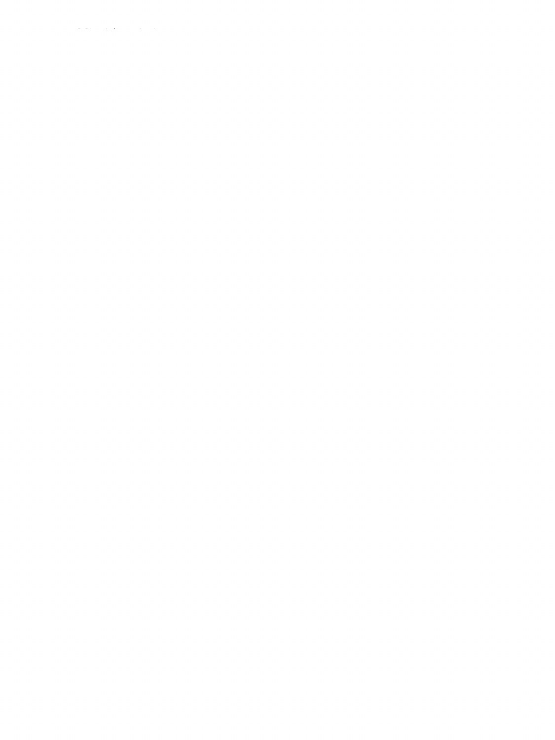|                                                             | ਾ ਕ<br>M.                                                                                                                                                                                         |  |
|-------------------------------------------------------------|---------------------------------------------------------------------------------------------------------------------------------------------------------------------------------------------------|--|
| كمتفتح                                                      |                                                                                                                                                                                                   |  |
|                                                             |                                                                                                                                                                                                   |  |
|                                                             |                                                                                                                                                                                                   |  |
|                                                             |                                                                                                                                                                                                   |  |
|                                                             |                                                                                                                                                                                                   |  |
|                                                             |                                                                                                                                                                                                   |  |
|                                                             |                                                                                                                                                                                                   |  |
| $\mathbb{R}^3$                                              | −                                                                                                                                                                                                 |  |
| ہے<br>جسم                                                   |                                                                                                                                                                                                   |  |
|                                                             |                                                                                                                                                                                                   |  |
|                                                             |                                                                                                                                                                                                   |  |
|                                                             |                                                                                                                                                                                                   |  |
|                                                             |                                                                                                                                                                                                   |  |
|                                                             |                                                                                                                                                                                                   |  |
|                                                             |                                                                                                                                                                                                   |  |
| $\overline{\mathbf{r}}$                                     |                                                                                                                                                                                                   |  |
|                                                             |                                                                                                                                                                                                   |  |
|                                                             |                                                                                                                                                                                                   |  |
|                                                             | $\frac{1}{22727}$                                                                                                                                                                                 |  |
|                                                             |                                                                                                                                                                                                   |  |
|                                                             | $\Delta \epsilon \left( \mathcal{F}(\mathcal{D}_{\mathcal{F}}) \right) = \mathcal{F}(\mathcal{D}_{\mathcal{F}}(\mathcal{D}_{\mathcal{F}}))$<br>$\mathbf{g}_{\mathcal{D}} = \mathbf{g} \mathbf{e}$ |  |
|                                                             |                                                                                                                                                                                                   |  |
| $\overline{A}$                                              | $\cdots$<br>$\ddot{\phantom{0}}$                                                                                                                                                                  |  |
|                                                             | $\equiv$ $\frac{1}{2}$                                                                                                                                                                            |  |
| $\frac{1}{2}$<br>$\frac{1}{\sqrt{\frac{1}{2}+\frac{1}{2}}}$ |                                                                                                                                                                                                   |  |
|                                                             |                                                                                                                                                                                                   |  |
|                                                             |                                                                                                                                                                                                   |  |
| $\mathbf{r}_i$                                              |                                                                                                                                                                                                   |  |
|                                                             |                                                                                                                                                                                                   |  |
|                                                             |                                                                                                                                                                                                   |  |
|                                                             |                                                                                                                                                                                                   |  |
|                                                             |                                                                                                                                                                                                   |  |
|                                                             |                                                                                                                                                                                                   |  |
|                                                             |                                                                                                                                                                                                   |  |
|                                                             |                                                                                                                                                                                                   |  |
|                                                             |                                                                                                                                                                                                   |  |
|                                                             |                                                                                                                                                                                                   |  |
|                                                             |                                                                                                                                                                                                   |  |
|                                                             |                                                                                                                                                                                                   |  |
| $\int_{0}^{\infty}$                                         |                                                                                                                                                                                                   |  |
|                                                             |                                                                                                                                                                                                   |  |
|                                                             |                                                                                                                                                                                                   |  |
|                                                             |                                                                                                                                                                                                   |  |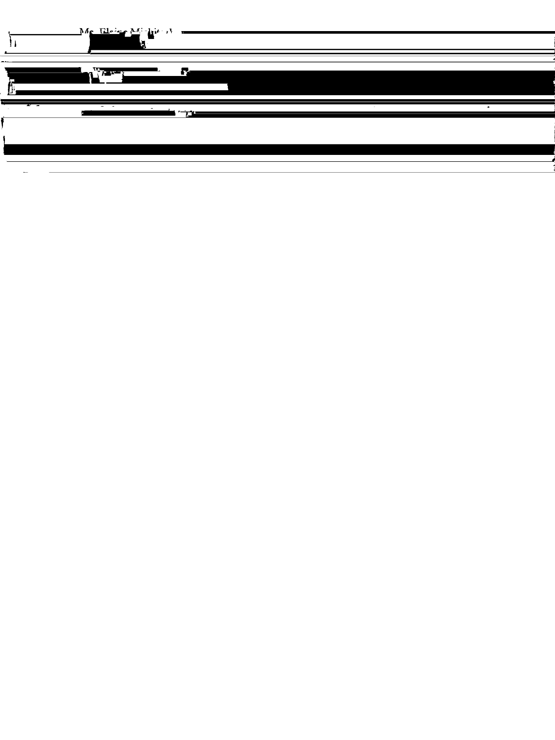| $\underline{\mathbf{M}}$ , $\underline{\mathbf{M}}$ , $\underline{\mathbf{M}}$ , $\underline{\mathbf{M}}$ , $\underline{\mathbf{M}}$ , $\underline{\mathbf{M}}$ |  |
|-----------------------------------------------------------------------------------------------------------------------------------------------------------------|--|
|-----------------------------------------------------------------------------------------------------------------------------------------------------------------|--|

| T                     |  |
|-----------------------|--|
|                       |  |
|                       |  |
|                       |  |
|                       |  |
|                       |  |
| $\frac{1}{2}$         |  |
| $\overline{ }$        |  |
| $\mathbf{t}$ .        |  |
|                       |  |
| $=$                   |  |
| بر سنة<br>المالي<br>إ |  |
| - ∗                   |  |
|                       |  |
|                       |  |
|                       |  |
|                       |  |
|                       |  |
|                       |  |
| Ŧ,                    |  |
|                       |  |
|                       |  |
|                       |  |

 $\bar{z}$